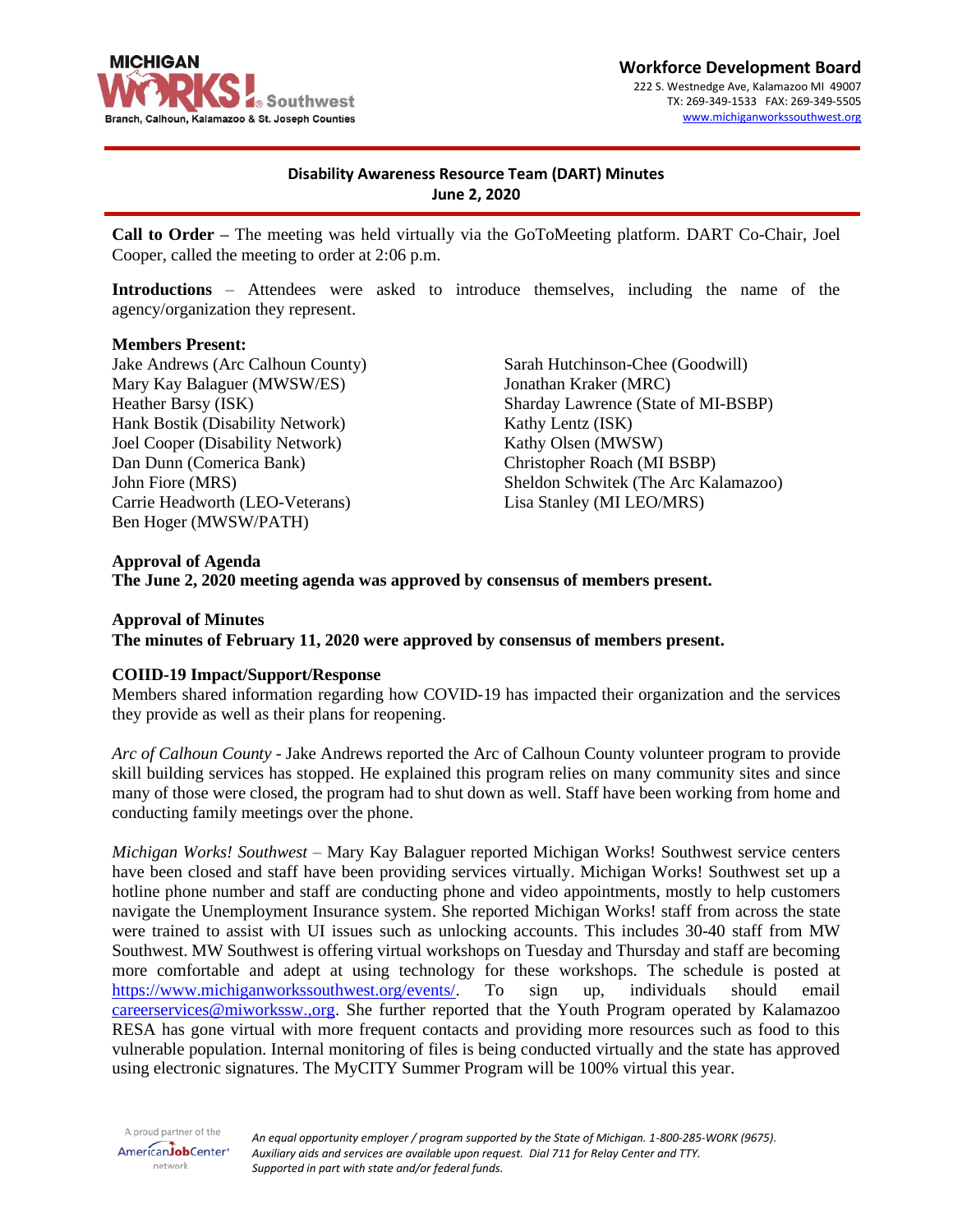

# **Disability Awareness Resource Team (DART) Minutes June 2, 2020**

**Call to Order –** The meeting was held virtually via the GoToMeeting platform. DART Co-Chair, Joel Cooper, called the meeting to order at 2:06 p.m.

**Introductions** – Attendees were asked to introduce themselves, including the name of the agency/organization they represent.

#### **Members Present:**

Jake Andrews (Arc Calhoun County) Mary Kay Balaguer (MWSW/ES) Heather Barsy (ISK) Hank Bostik (Disability Network) Joel Cooper (Disability Network) Dan Dunn (Comerica Bank) John Fiore (MRS) Carrie Headworth (LEO-Veterans) Ben Hoger (MWSW/PATH)

Sarah Hutchinson-Chee (Goodwill) Jonathan Kraker (MRC) Sharday Lawrence (State of MI-BSBP) Kathy Lentz (ISK) Kathy Olsen (MWSW) Christopher Roach (MI BSBP) Sheldon Schwitek (The Arc Kalamazoo) Lisa Stanley (MI LEO/MRS)

**Approval of Agenda The June 2, 2020 meeting agenda was approved by consensus of members present.**

# **Approval of Minutes The minutes of February 11, 2020 were approved by consensus of members present.**

#### **COIID-19 Impact/Support/Response**

Members shared information regarding how COVID-19 has impacted their organization and the services they provide as well as their plans for reopening.

*Arc of Calhoun County* - Jake Andrews reported the Arc of Calhoun County volunteer program to provide skill building services has stopped. He explained this program relies on many community sites and since many of those were closed, the program had to shut down as well. Staff have been working from home and conducting family meetings over the phone.

*Michigan Works! Southwest* – Mary Kay Balaguer reported Michigan Works! Southwest service centers have been closed and staff have been providing services virtually. Michigan Works! Southwest set up a hotline phone number and staff are conducting phone and video appointments, mostly to help customers navigate the Unemployment Insurance system. She reported Michigan Works! staff from across the state were trained to assist with UI issues such as unlocking accounts. This includes 30-40 staff from MW Southwest. MW Southwest is offering virtual workshops on Tuesday and Thursday and staff are becoming more comfortable and adept at using technology for these workshops. The schedule is posted at [https://www.michiganworkssouthwest.org/events/.](https://www.michiganworkssouthwest.org/events/) To sign up, individuals should email [careerservices@miworkssw.,org.](mailto:careerservices@miworkssw.,org) She further reported that the Youth Program operated by Kalamazoo RESA has gone virtual with more frequent contacts and providing more resources such as food to this vulnerable population. Internal monitoring of files is being conducted virtually and the state has approved using electronic signatures. The MyCITY Summer Program will be 100% virtual this year.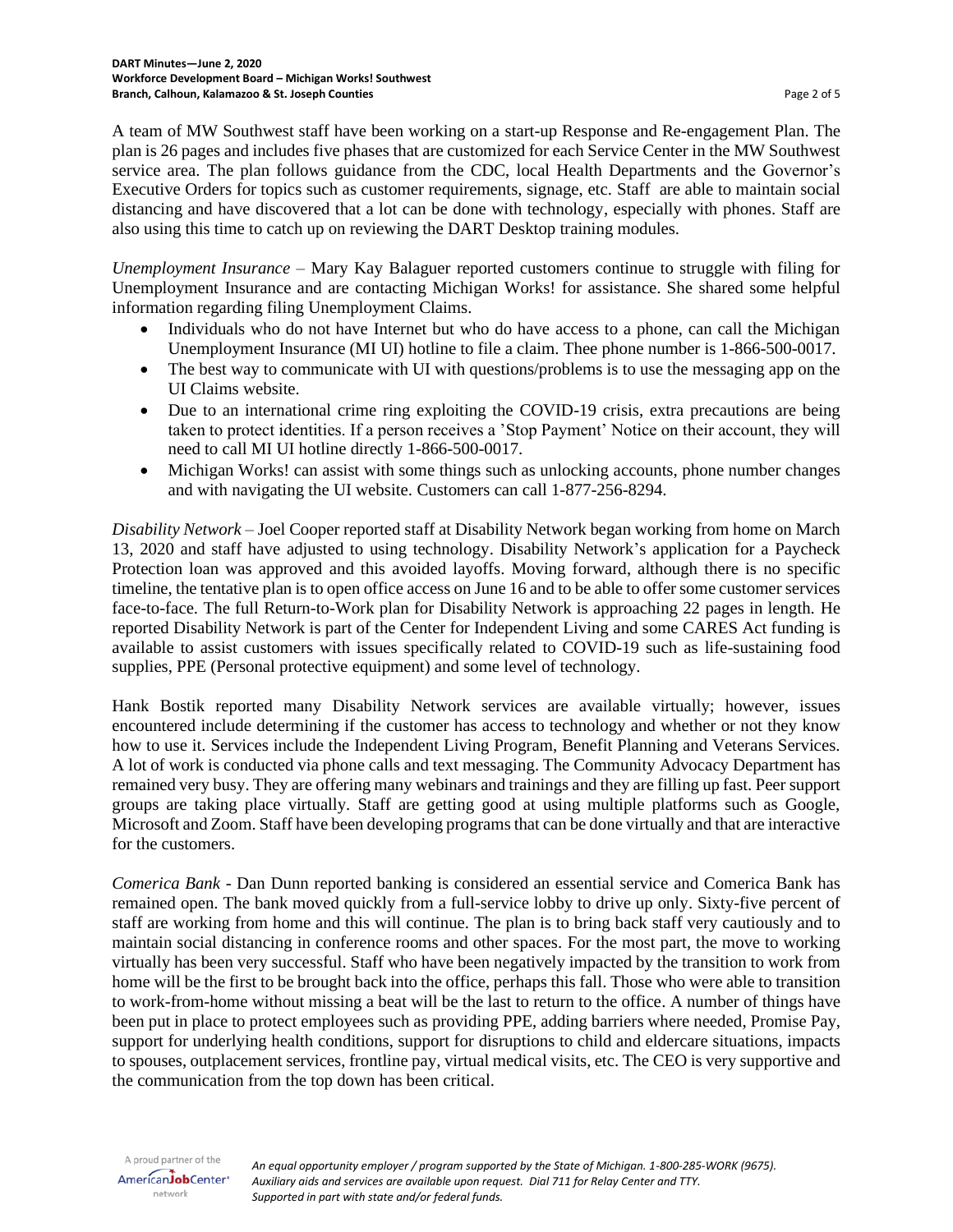A team of MW Southwest staff have been working on a start-up Response and Re-engagement Plan. The plan is 26 pages and includes five phases that are customized for each Service Center in the MW Southwest service area. The plan follows guidance from the CDC, local Health Departments and the Governor's Executive Orders for topics such as customer requirements, signage, etc. Staff are able to maintain social distancing and have discovered that a lot can be done with technology, especially with phones. Staff are also using this time to catch up on reviewing the DART Desktop training modules.

*Unemployment Insurance* – Mary Kay Balaguer reported customers continue to struggle with filing for Unemployment Insurance and are contacting Michigan Works! for assistance. She shared some helpful information regarding filing Unemployment Claims.

- Individuals who do not have Internet but who do have access to a phone, can call the Michigan Unemployment Insurance (MI UI) hotline to file a claim. Thee phone number is 1-866-500-0017.
- The best way to communicate with UI with questions/problems is to use the messaging app on the UI Claims website.
- Due to an international crime ring exploiting the COVID-19 crisis, extra precautions are being taken to protect identities. If a person receives a 'Stop Payment' Notice on their account, they will need to call MI UI hotline directly 1-866-500-0017.
- Michigan Works! can assist with some things such as unlocking accounts, phone number changes and with navigating the UI website. Customers can call 1-877-256-8294.

*Disability Network* – Joel Cooper reported staff at Disability Network began working from home on March 13, 2020 and staff have adjusted to using technology. Disability Network's application for a Paycheck Protection loan was approved and this avoided layoffs. Moving forward, although there is no specific timeline, the tentative plan is to open office access on June 16 and to be able to offer some customer services face-to-face. The full Return-to-Work plan for Disability Network is approaching 22 pages in length. He reported Disability Network is part of the Center for Independent Living and some CARES Act funding is available to assist customers with issues specifically related to COVID-19 such as life-sustaining food supplies, PPE (Personal protective equipment) and some level of technology.

Hank Bostik reported many Disability Network services are available virtually; however, issues encountered include determining if the customer has access to technology and whether or not they know how to use it. Services include the Independent Living Program, Benefit Planning and Veterans Services. A lot of work is conducted via phone calls and text messaging. The Community Advocacy Department has remained very busy. They are offering many webinars and trainings and they are filling up fast. Peer support groups are taking place virtually. Staff are getting good at using multiple platforms such as Google, Microsoft and Zoom. Staff have been developing programs that can be done virtually and that are interactive for the customers.

*Comerica Bank* - Dan Dunn reported banking is considered an essential service and Comerica Bank has remained open. The bank moved quickly from a full-service lobby to drive up only. Sixty-five percent of staff are working from home and this will continue. The plan is to bring back staff very cautiously and to maintain social distancing in conference rooms and other spaces. For the most part, the move to working virtually has been very successful. Staff who have been negatively impacted by the transition to work from home will be the first to be brought back into the office, perhaps this fall. Those who were able to transition to work-from-home without missing a beat will be the last to return to the office. A number of things have been put in place to protect employees such as providing PPE, adding barriers where needed, Promise Pay, support for underlying health conditions, support for disruptions to child and eldercare situations, impacts to spouses, outplacement services, frontline pay, virtual medical visits, etc. The CEO is very supportive and the communication from the top down has been critical.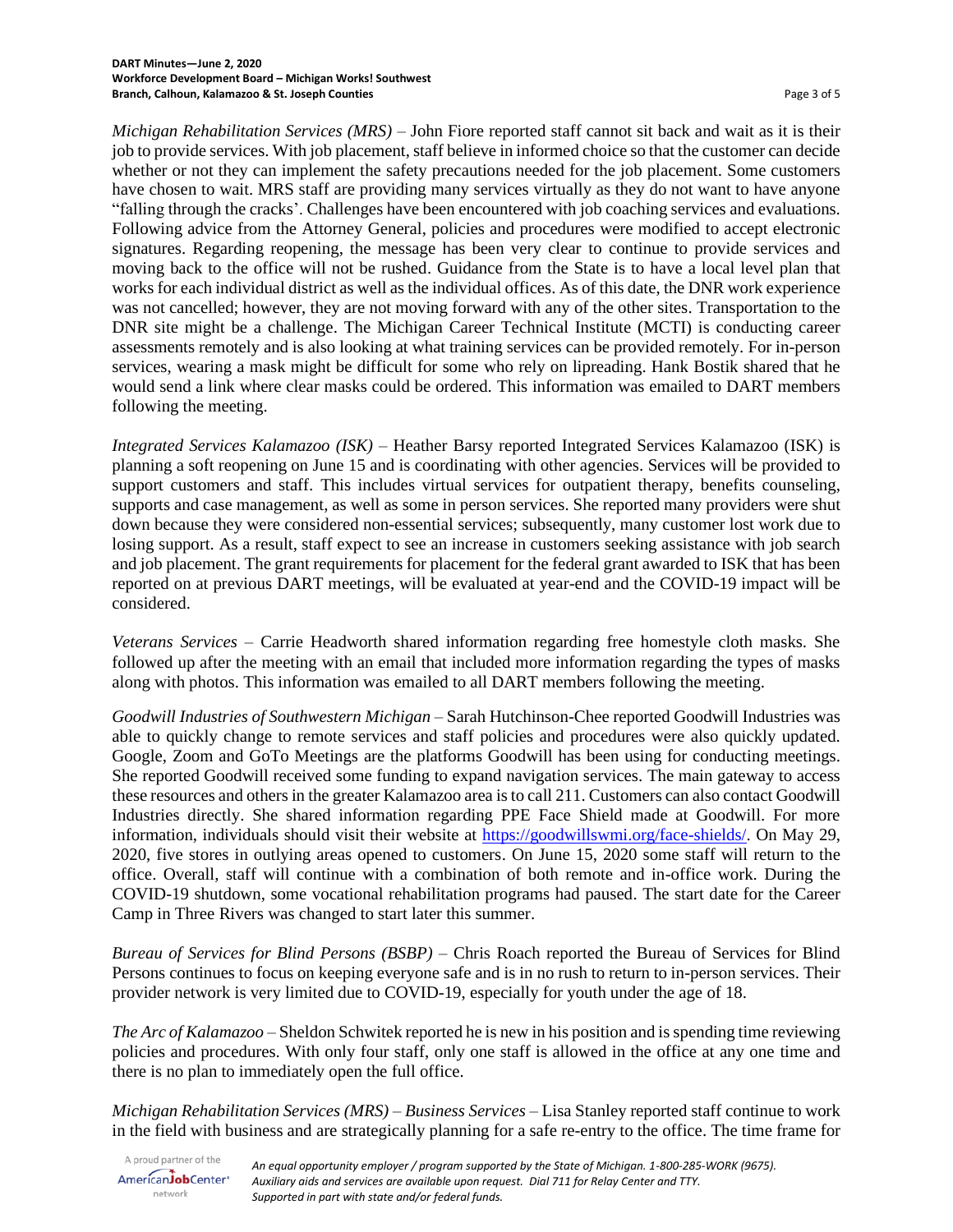*Michigan Rehabilitation Services (MRS)* – John Fiore reported staff cannot sit back and wait as it is their job to provide services. With job placement, staff believe in informed choice so that the customer can decide whether or not they can implement the safety precautions needed for the job placement. Some customers have chosen to wait. MRS staff are providing many services virtually as they do not want to have anyone "falling through the cracks'. Challenges have been encountered with job coaching services and evaluations. Following advice from the Attorney General, policies and procedures were modified to accept electronic signatures. Regarding reopening, the message has been very clear to continue to provide services and moving back to the office will not be rushed. Guidance from the State is to have a local level plan that works for each individual district as well as the individual offices. As of this date, the DNR work experience was not cancelled; however, they are not moving forward with any of the other sites. Transportation to the DNR site might be a challenge. The Michigan Career Technical Institute (MCTI) is conducting career assessments remotely and is also looking at what training services can be provided remotely. For in-person services, wearing a mask might be difficult for some who rely on lipreading. Hank Bostik shared that he would send a link where clear masks could be ordered. This information was emailed to DART members following the meeting.

*Integrated Services Kalamazoo (ISK)* – Heather Barsy reported Integrated Services Kalamazoo (ISK) is planning a soft reopening on June 15 and is coordinating with other agencies. Services will be provided to support customers and staff. This includes virtual services for outpatient therapy, benefits counseling, supports and case management, as well as some in person services. She reported many providers were shut down because they were considered non-essential services; subsequently, many customer lost work due to losing support. As a result, staff expect to see an increase in customers seeking assistance with job search and job placement. The grant requirements for placement for the federal grant awarded to ISK that has been reported on at previous DART meetings, will be evaluated at year-end and the COVID-19 impact will be considered.

*Veterans Services* – Carrie Headworth shared information regarding free homestyle cloth masks. She followed up after the meeting with an email that included more information regarding the types of masks along with photos. This information was emailed to all DART members following the meeting.

*Goodwill Industries of Southwestern Michigan* – Sarah Hutchinson-Chee reported Goodwill Industries was able to quickly change to remote services and staff policies and procedures were also quickly updated. Google, Zoom and GoTo Meetings are the platforms Goodwill has been using for conducting meetings. She reported Goodwill received some funding to expand navigation services. The main gateway to access these resources and othersin the greater Kalamazoo area is to call 211. Customers can also contact Goodwill Industries directly. She shared information regarding PPE Face Shield made at Goodwill. For more information, individuals should visit their website at [https://goodwillswmi.org/face-shields/.](https://goodwillswmi.org/face-shields/) On May 29, 2020, five stores in outlying areas opened to customers. On June 15, 2020 some staff will return to the office. Overall, staff will continue with a combination of both remote and in-office work. During the COVID-19 shutdown, some vocational rehabilitation programs had paused. The start date for the Career Camp in Three Rivers was changed to start later this summer.

*Bureau of Services for Blind Persons (BSBP)* – Chris Roach reported the Bureau of Services for Blind Persons continues to focus on keeping everyone safe and is in no rush to return to in-person services. Their provider network is very limited due to COVID-19, especially for youth under the age of 18.

*The Arc of Kalamazoo* – Sheldon Schwitek reported he is new in his position and is spending time reviewing policies and procedures. With only four staff, only one staff is allowed in the office at any one time and there is no plan to immediately open the full office.

*Michigan Rehabilitation Services (MRS) – Business Services* – Lisa Stanley reported staff continue to work in the field with business and are strategically planning for a safe re-entry to the office. The time frame for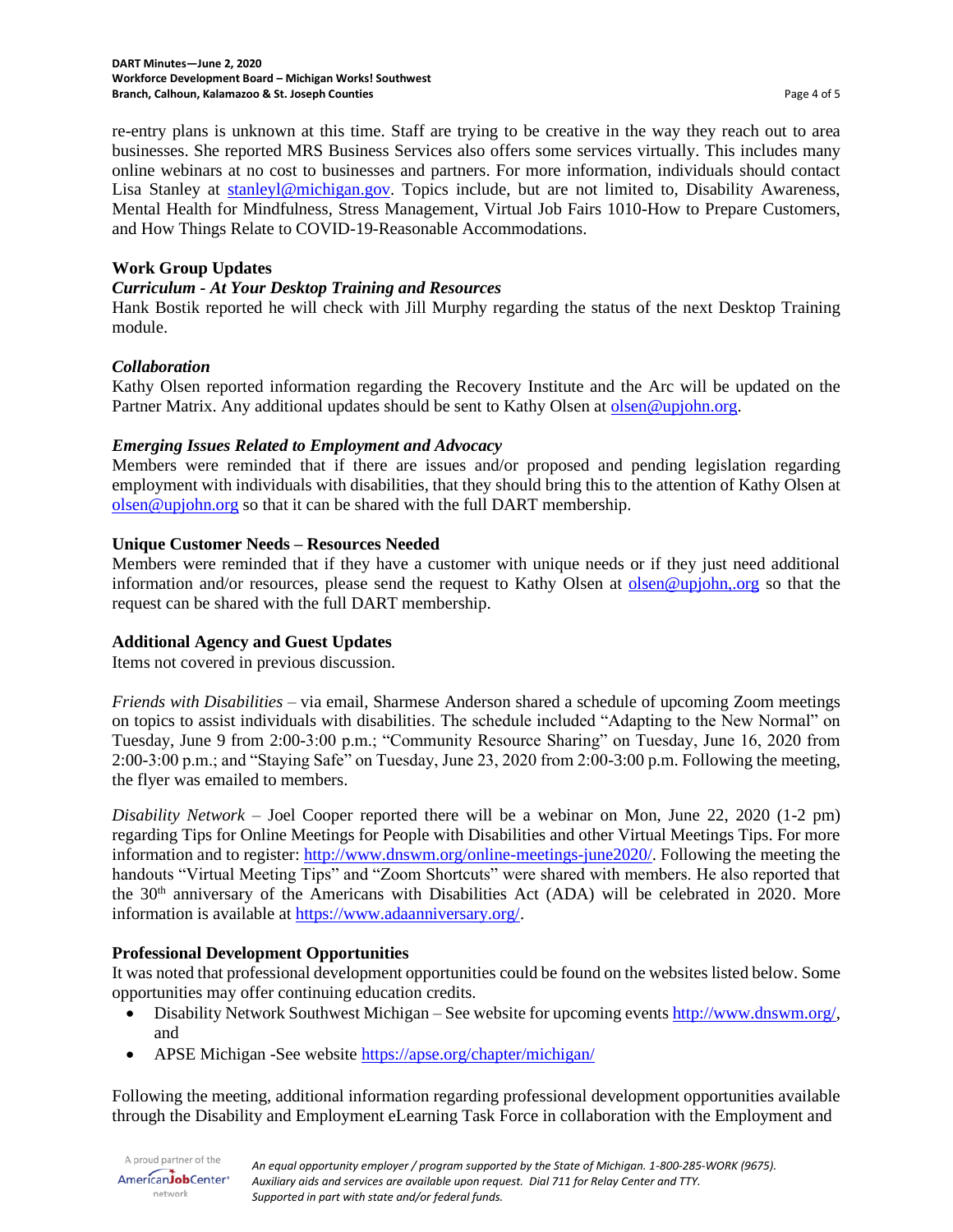re-entry plans is unknown at this time. Staff are trying to be creative in the way they reach out to area businesses. She reported MRS Business Services also offers some services virtually. This includes many online webinars at no cost to businesses and partners. For more information, individuals should contact Lisa Stanley at [stanleyl@michigan.gov.](mailto:stanleyl@michigan.gov) Topics include, but are not limited to, Disability Awareness, Mental Health for Mindfulness, Stress Management, Virtual Job Fairs 1010-How to Prepare Customers, and How Things Relate to COVID-19-Reasonable Accommodations.

### **Work Group Updates**

### *Curriculum - At Your Desktop Training and Resources*

Hank Bostik reported he will check with Jill Murphy regarding the status of the next Desktop Training module.

### *Collaboration*

Kathy Olsen reported information regarding the Recovery Institute and the Arc will be updated on the Partner Matrix. Any additional updates should be sent to Kathy Olsen at [olsen@upjohn.org.](mailto:olsen@upjohn.org)

### *Emerging Issues Related to Employment and Advocacy*

Members were reminded that if there are issues and/or proposed and pending legislation regarding employment with individuals with disabilities, that they should bring this to the attention of Kathy Olsen at [olsen@upjohn.org](mailto:olsen@upjohn.org) so that it can be shared with the full DART membership.

### **Unique Customer Needs – Resources Needed**

Members were reminded that if they have a customer with unique needs or if they just need additional information and/or resources, please send the request to Kathy Olsen at [olsen@upjohn,.org](mailto:olsen@upjohn,.org) so that the request can be shared with the full DART membership.

# **Additional Agency and Guest Updates**

Items not covered in previous discussion.

*Friends with Disabilities –* via email, Sharmese Anderson shared a schedule of upcoming Zoom meetings on topics to assist individuals with disabilities. The schedule included "Adapting to the New Normal" on Tuesday, June 9 from 2:00-3:00 p.m.; "Community Resource Sharing" on Tuesday, June 16, 2020 from 2:00-3:00 p.m.; and "Staying Safe" on Tuesday, June 23, 2020 from 2:00-3:00 p.m. Following the meeting, the flyer was emailed to members.

*Disability Network* – Joel Cooper reported there will be a webinar on Mon, June 22, 2020 (1-2 pm) regarding Tips for Online Meetings for People with Disabilities and other Virtual Meetings Tips. For more information and to register: [http://www.dnswm.org/online-meetings-june2020/.](http://www.dnswm.org/online-meetings-june2020/) Following the meeting the handouts "Virtual Meeting Tips" and "Zoom Shortcuts" were shared with members. He also reported that the  $30<sup>th</sup>$  anniversary of the Americans with Disabilities Act (ADA) will be celebrated in 2020. More information is available at [https://www.adaanniversary.org/.](https://www.adaanniversary.org/)

# **Professional Development Opportunities**

It was noted that professional development opportunities could be found on the websites listed below. Some opportunities may offer continuing education credits.

- Disability Network Southwest Michigan See website for upcoming events [http://www.dnswm.org/,](http://www.dnswm.org/) and
- APSE Michigan -See website<https://apse.org/chapter/michigan/>

Following the meeting, additional information regarding professional development opportunities available through the Disability and Employment eLearning Task Force in collaboration with the Employment and